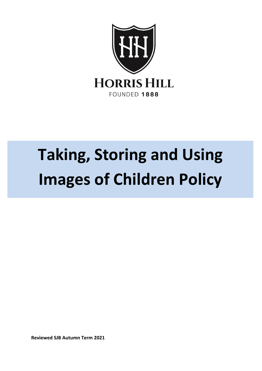

# **Taking, Storing and Using Images of Children Policy**

**Reviewed SJB Autumn Term 2021**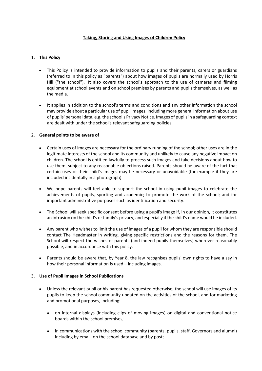# **Taking, Storing and Using Images of Children Policy**

# 1. **This Policy**

- This Policy is intended to provide information to pupils and their parents, carers or guardians (referred to in this policy as "parents") about how images of pupils are normally used by Horris Hill ("the school"). It also covers the school's approach to the use of cameras and filming equipment at school events and on school premises by parents and pupils themselves, as well as the media.
- It applies in addition to the school's terms and conditions and any other information the school may provide about a particular use of pupil images, including more general information about use of pupils' personal data, e.g. the school's Privacy Notice. Images of pupils in a safeguarding context are dealt with under the school's relevant safeguarding policies.

## 2. **General points to be aware of**

- Certain uses of images are necessary for the ordinary running of the school; other uses are in the legitimate interests of the school and its community and unlikely to cause any negative impact on children. The school is entitled lawfully to process such images and take decisions about how to use them, subject to any reasonable objections raised. Parents should be aware of the fact that certain uses of their child's images may be necessary or unavoidable (for example if they are included incidentally in a photograph).
- We hope parents will feel able to support the school in using pupil images to celebrate the achievements of pupils, sporting and academic; to promote the work of the school; and for important administrative purposes such as identification and security.
- The School will seek specific consent before using a pupil's image if, in our opinion, it constitutes an intrusion on the child's or family's privacy, and especially if the child's name would be included.
- Any parent who wishes to limit the use of images of a pupil for whom they are responsible should contact The Headmaster in writing, giving specific restrictions and the reasons for them. The School will respect the wishes of parents (and indeed pupils themselves) wherever reasonably possible, and in accordance with this policy.
- Parents should be aware that, by Year 8, the law recognises pupils' own rights to have a say in how their personal information is used – including images.

## 3. **Use of Pupil Images in School Publications**

- Unless the relevant pupil or his parent has requested otherwise, the school will use images of its pupils to keep the school community updated on the activities of the school, and for marketing and promotional purposes, including:
	- on internal displays (including clips of moving images) on digital and conventional notice boards within the school premises;
	- in communications with the school community (parents, pupils, staff, Governors and alumni) including by email, on the school database and by post;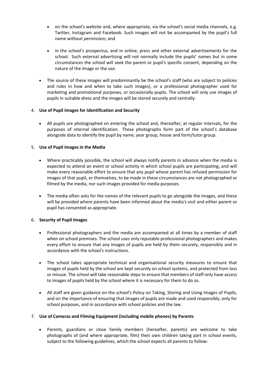- on the school's website and, where appropriate, via the school's social media channels, e.g. Twitter, Instagram and Facebook. Such images will not be accompanied by the pupil's full name without permission; and
- in the school's prospectus, and in online, press and other external advertisements for the school. Such external advertising will not normally include the pupils' names but in some circumstances the school will seek the parent or pupil's specific consent, depending on the nature of the image or the use.
- The source of these images will predominantly be the school's staff (who are subject to policies and rules in how and when to take such images), or a professional photographer used for marketing and promotional purposes, or occasionally pupils. The school will only use images of pupils in suitable dress and the images will be stored securely and centrally.

# 4. **Use of Pupil Images for Identification and Security**

• All pupils are photographed on entering the school and, thereafter, at regular intervals, for the purposes of internal identification. These photographs form part of the school's database alongside data to identify the pupil by name, year group, house and form/tutor group.

## 5. **Use of Pupil Images in the Media**

- Where practicably possible, the school will always notify parents in advance when the media is expected to attend an event or school activity in which school pupils are participating, and will make every reasonable effort to ensure that any pupil whose parent has refused permission for images of that pupil, or themselves, to be made in these circumstances are not photographed or filmed by the media, nor such images provided for media purposes.
- The media often asks for the names of the relevant pupils to go alongside the images, and these will be provided where parents have been informed about the media's visit and either parent or pupil has consented as appropriate.

# 6. **Security of Pupil Images**

- Professional photographers and the media are accompanied at all times by a member of staff when on school premises. The school uses only reputable professional photographers and makes every effort to ensure that any images of pupils are held by them securely, responsibly and in accordance with the school's instructions.
- The school takes appropriate technical and organisational security measures to ensure that images of pupils held by the school are kept securely on school systems, and protected from loss or misuse. The school will take reasonable steps to ensure that members of staff only have access to images of pupils held by the school where it is necessary for them to do so.
- All staff are given guidance on the school's Policy on Taking, Storing and Using Images of Pupils, and on the importance of ensuring that images of pupils are made and used responsibly, only for school purposes, and in accordance with school policies and the law.

## 7. **Use of Cameras and Filming Equipment (including mobile phones) by Parents**

• Parents, guardians or close family members (hereafter, parents) are welcome to take photographs of (and where appropriate, film) their own children taking part in school events, subject to the following guidelines, which the school expects all parents to follow: